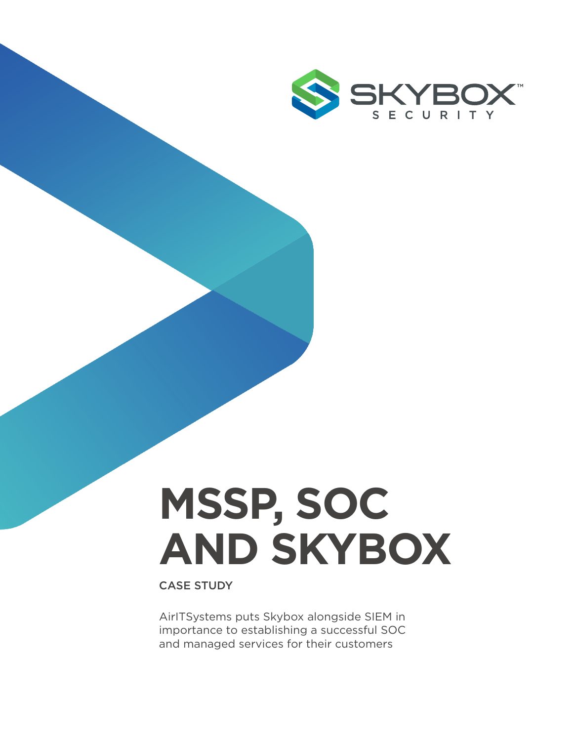

# **MSSP, SOC AND SKYBOX**

CASE STUDY

AirITSystems puts Skybox alongside SIEM in importance to establishing a successful SOC and managed services for their customers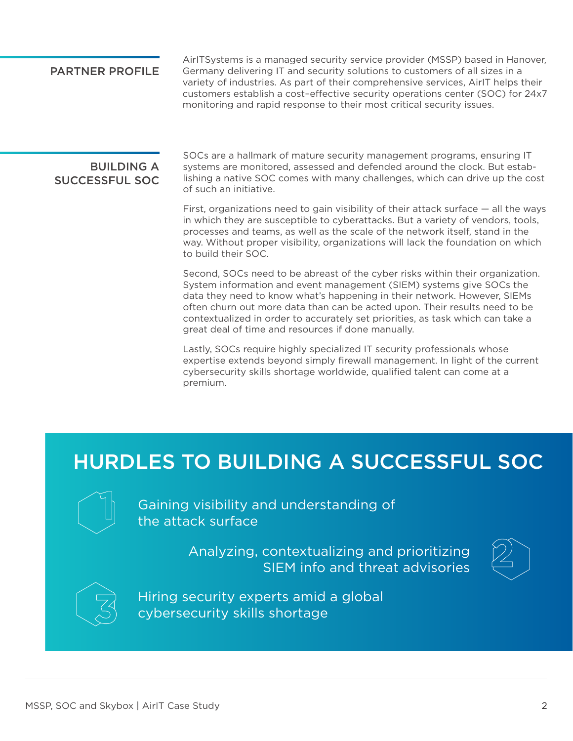#### PARTNER PROFILE

AirITSystems is a managed security service provider (MSSP) based in Hanover, Germany delivering IT and security solutions to customers of all sizes in a variety of industries. As part of their comprehensive services, AirIT helps their customers establish a cost–effective security operations center (SOC) for 24x7 monitoring and rapid response to their most critical security issues.

#### **BUILDING A** SUCCESSFUL SOC

SOCs are a hallmark of mature security management programs, ensuring IT systems are monitored, assessed and defended around the clock. But establishing a native SOC comes with many challenges, which can drive up the cost of such an initiative.

First, organizations need to gain visibility of their attack surface — all the ways in which they are susceptible to cyberattacks. But a variety of vendors, tools, processes and teams, as well as the scale of the network itself, stand in the way. Without proper visibility, organizations will lack the foundation on which to build their SOC.

Second, SOCs need to be abreast of the cyber risks within their organization. System information and event management (SIEM) systems give SOCs the data they need to know what's happening in their network. However, SIEMs often churn out more data than can be acted upon. Their results need to be contextualized in order to accurately set priorities, as task which can take a great deal of time and resources if done manually.

Lastly, SOCs require highly specialized IT security professionals whose expertise extends beyond simply firewall management. In light of the current cybersecurity skills shortage worldwide, qualified talent can come at a premium.

## HURDLES TO BUILDING A SUCCESSFUL SOC



Gaining visibility and understanding of the attack surface

> Analyzing, contextualizing and prioritizing SIEM info and threat advisories





Hiring security experts amid a global cybersecurity skills shortage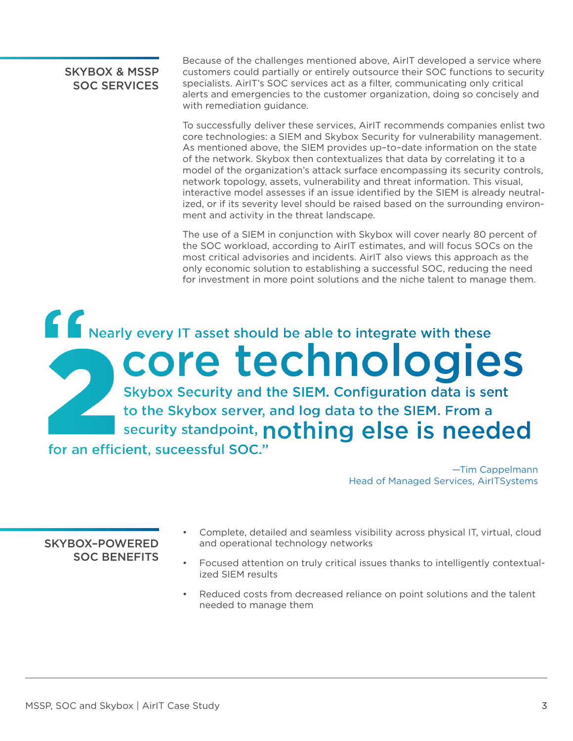#### SKYBOX & MSSP SOC SERVICES

Because of the challenges mentioned above, AirIT developed a service where customers could partially or entirely outsource their SOC functions to security specialists. AirIT's SOC services act as a filter, communicating only critical alerts and emergencies to the customer organization, doing so concisely and with remediation guidance.

To successfully deliver these services, AirIT recommends companies enlist two core technologies: a SIEM and Skybox Security for vulnerability management. As mentioned above, the SIEM provides up–to–date information on the state of the network. Skybox then contextualizes that data by correlating it to a model of the organization's attack surface encompassing its security controls, network topology, assets, vulnerability and threat information. This visual, interactive model assesses if an issue identified by the SIEM is already neutralized, or if its severity level should be raised based on the surrounding environment and activity in the threat landscape.

The use of a SIEM in conjunction with Skybox will cover nearly 80 percent of the SOC workload, according to AirIT estimates, and will focus SOCs on the most critical advisories and incidents. AirIT also views this approach as the only economic solution to establishing a successful SOC, reducing the need for investment in more point solutions and the niche talent to manage them.

Nearly every IT asset should be able to integrate with these core technologies Skybox Security and the SIEM. Configuration data is sent to the Skybox server, and log data to the SIEM. From a I security standpoint, nothing else is needed for an efficient, suceessful SOC."

> —Tim Cappelmann Head of Managed Services, AirITSystems

#### SKYBOX–POWERED SOC BENEFITS

- Complete, detailed and seamless visibility across physical IT, virtual, cloud and operational technology networks
- Focused attention on truly critical issues thanks to intelligently contextualized SIEM results
- Reduced costs from decreased reliance on point solutions and the talent needed to manage them